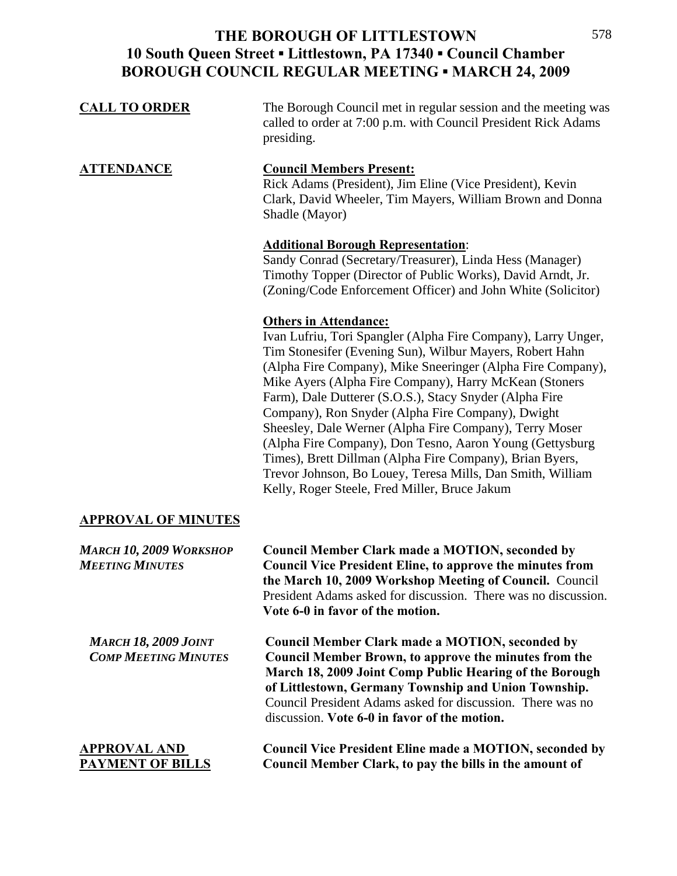| <b>CALL TO ORDER</b>                                       | The Borough Council met in regular session and the meeting was<br>called to order at 7:00 p.m. with Council President Rick Adams<br>presiding.                                                                                                                                                                                                                                                                                                                                                                                                                                                                                                                                                        |
|------------------------------------------------------------|-------------------------------------------------------------------------------------------------------------------------------------------------------------------------------------------------------------------------------------------------------------------------------------------------------------------------------------------------------------------------------------------------------------------------------------------------------------------------------------------------------------------------------------------------------------------------------------------------------------------------------------------------------------------------------------------------------|
| <b>ATTENDANCE</b>                                          | <b>Council Members Present:</b><br>Rick Adams (President), Jim Eline (Vice President), Kevin<br>Clark, David Wheeler, Tim Mayers, William Brown and Donna<br>Shadle (Mayor)                                                                                                                                                                                                                                                                                                                                                                                                                                                                                                                           |
|                                                            | <b>Additional Borough Representation:</b><br>Sandy Conrad (Secretary/Treasurer), Linda Hess (Manager)<br>Timothy Topper (Director of Public Works), David Arndt, Jr.<br>(Zoning/Code Enforcement Officer) and John White (Solicitor)                                                                                                                                                                                                                                                                                                                                                                                                                                                                  |
|                                                            | <b>Others in Attendance:</b><br>Ivan Lufriu, Tori Spangler (Alpha Fire Company), Larry Unger,<br>Tim Stonesifer (Evening Sun), Wilbur Mayers, Robert Hahn<br>(Alpha Fire Company), Mike Sneeringer (Alpha Fire Company),<br>Mike Ayers (Alpha Fire Company), Harry McKean (Stoners<br>Farm), Dale Dutterer (S.O.S.), Stacy Snyder (Alpha Fire<br>Company), Ron Snyder (Alpha Fire Company), Dwight<br>Sheesley, Dale Werner (Alpha Fire Company), Terry Moser<br>(Alpha Fire Company), Don Tesno, Aaron Young (Gettysburg)<br>Times), Brett Dillman (Alpha Fire Company), Brian Byers,<br>Trevor Johnson, Bo Louey, Teresa Mills, Dan Smith, William<br>Kelly, Roger Steele, Fred Miller, Bruce Jakum |
| <b>APPROVAL OF MINUTES</b>                                 |                                                                                                                                                                                                                                                                                                                                                                                                                                                                                                                                                                                                                                                                                                       |
| <b>MARCH 10, 2009 WORKSHOP</b><br><b>MEETING MINUTES</b>   | <b>Council Member Clark made a MOTION, seconded by</b><br><b>Council Vice President Eline, to approve the minutes from</b><br>the March 10, 2009 Workshop Meeting of Council. Council<br>President Adams asked for discussion. There was no discussion.<br>Vote 6-0 in favor of the motion.                                                                                                                                                                                                                                                                                                                                                                                                           |
| <b>MARCH 18, 2009 JOINT</b><br><b>COMP MEETING MINUTES</b> | <b>Council Member Clark made a MOTION, seconded by</b><br><b>Council Member Brown, to approve the minutes from the</b><br>March 18, 2009 Joint Comp Public Hearing of the Borough<br>of Littlestown, Germany Township and Union Township.<br>Council President Adams asked for discussion. There was no<br>discussion. Vote 6-0 in favor of the motion.                                                                                                                                                                                                                                                                                                                                               |
| <b>APPROVAL AND</b><br><b>PAYMENT OF BILLS</b>             | <b>Council Vice President Eline made a MOTION, seconded by</b><br>Council Member Clark, to pay the bills in the amount of                                                                                                                                                                                                                                                                                                                                                                                                                                                                                                                                                                             |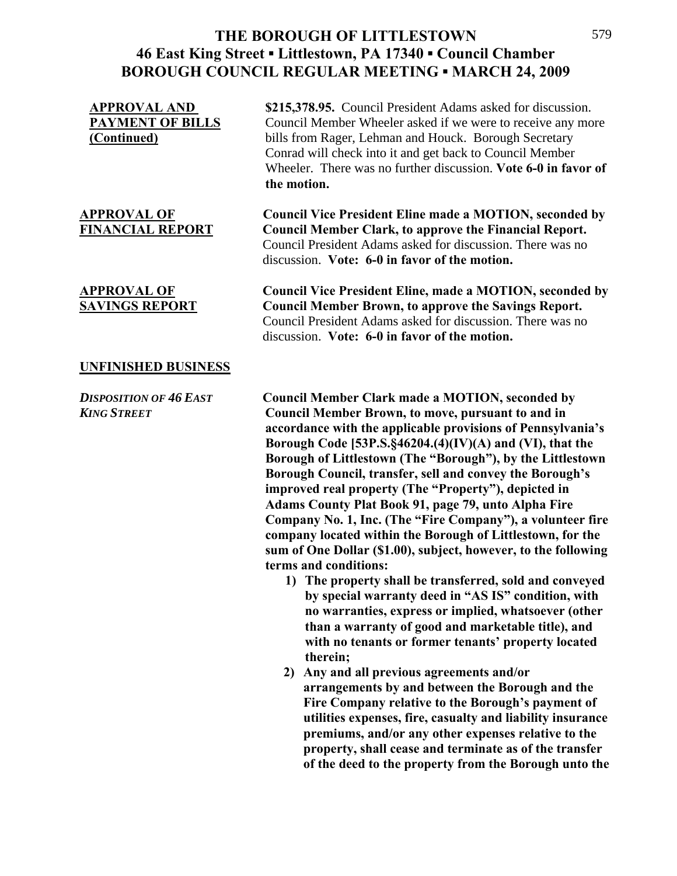#### **UNFINISHED BUSINESS**

**APPROVAL AND \$215,378.95.** Council President Adams asked for discussion. **PAYMENT OF BILLS** Council Member Wheeler asked if we were to receive any more **(Continued)** bills from Rager, Lehman and Houck. Borough Secretary Conrad will check into it and get back to Council Member Wheeler. There was no further discussion. **Vote 6-0 in favor of the motion.** 

**APPROVAL OF Council Vice President Eline made a MOTION, seconded by FINANCIAL REPORT Council Member Clark, to approve the Financial Report.**  Council President Adams asked for discussion. There was no discussion. **Vote: 6-0 in favor of the motion.** 

**APPROVAL OF Council Vice President Eline, made a MOTION, seconded by SAVINGS REPORT Council Member Brown, to approve the Savings Report.**  Council President Adams asked for discussion. There was no discussion. **Vote: 6-0 in favor of the motion.** 

*DISPOSITION OF 46 EAST* **Council Member Clark made a MOTION, seconded by**  *KING STREET* **Council Member Brown, to move, pursuant to and in accordance with the applicable provisions of Pennsylvania's Borough Code [53P.S.§46204.(4)(IV)(A) and (VI), that the Borough of Littlestown (The "Borough"), by the Littlestown Borough Council, transfer, sell and convey the Borough's improved real property (The "Property"), depicted in Adams County Plat Book 91, page 79, unto Alpha Fire Company No. 1, Inc. (The "Fire Company"), a volunteer fire company located within the Borough of Littlestown, for the sum of One Dollar (\$1.00), subject, however, to the following terms and conditions:** 

- **1) The property shall be transferred, sold and conveyed by special warranty deed in "AS IS" condition, with no warranties, express or implied, whatsoever (other than a warranty of good and marketable title), and with no tenants or former tenants' property located therein;**
- **2) Any and all previous agreements and/or arrangements by and between the Borough and the**  **Fire Company relative to the Borough's payment of** **utilities expenses, fire, casualty and liability insurance premiums, and/or any other expenses relative to the** **property, shall cease and terminate as of the transfer** **of the deed to the property from the Borough unto the**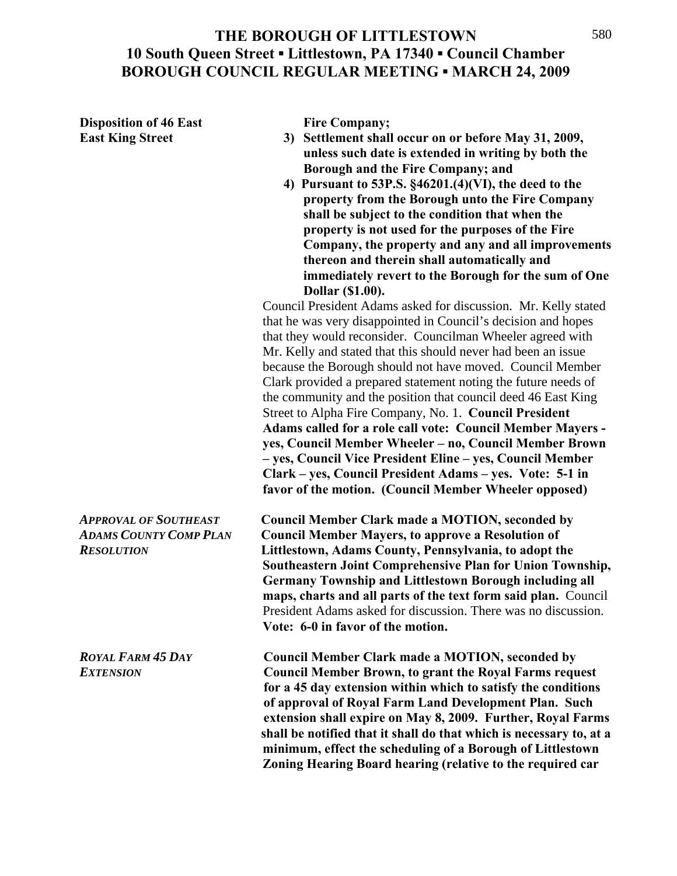**Disposition of 46 East Fire Company;** 

- East King Street 3) Settlement shall occur on or before May 31, 2009, **unless such date is extended in writing by both the Borough and the Fire Company; and** 
	- **4) Pursuant to 53P.S. §46201.(4)(VI), the deed to the property from the Borough unto the Fire Company shall be subject to the condition that when the property is not used for the purposes of the Fire Company, the property and any and all improvements thereon and therein shall automatically and immediately revert to the Borough for the sum of One Dollar (\$1.00).**

Council President Adams asked for discussion. Mr. Kelly stated that he was very disappointed in Council's decision and hopes that they would reconsider. Councilman Wheeler agreed with Mr. Kelly and stated that this should never had been an issue because the Borough should not have moved.Council Member Clark provided a prepared statement noting the future needs of the community and the position that council deed 46 East King Street to Alpha Fire Company, No. 1. **Council President Adams called for a role call vote: Council Member Mayers yes, Council Member Wheeler – no, Council Member Brown – yes, Council Vice President Eline – yes, Council Member Clark – yes, Council President Adams – yes. Vote: 5-1 in favor of the motion. (Council Member Wheeler opposed)** 

*APPROVAL OF SOUTHEAST* **Council Member Clark made a MOTION, seconded by**  *ADAMS COUNTY COMP PLAN* **Council Member Mayers, to approve a Resolution of**  *RESOLUTION* **Littlestown, Adams County, Pennsylvania, to adopt the Southeastern Joint Comprehensive Plan for Union Township, Germany Township and Littlestown Borough including all maps, charts and all parts of the text form said plan.** Council President Adams asked for discussion. There was no discussion. **Vote: 6-0 in favor of the motion.** 

*ROYAL FARM 45 DAY* **Council Member Clark made a MOTION, seconded by** *EXTENSION* **Council Member Brown, to grant the Royal Farms request for a 45 day extension within which to satisfy the conditions of approval of Royal Farm Land Development Plan. Such extension shall expire on May 8, 2009. Further, Royal Farms shall be notified that it shall do that which is necessary to, at a minimum, effect the scheduling of a Borough of Littlestown Zoning Hearing Board hearing (relative to the required car**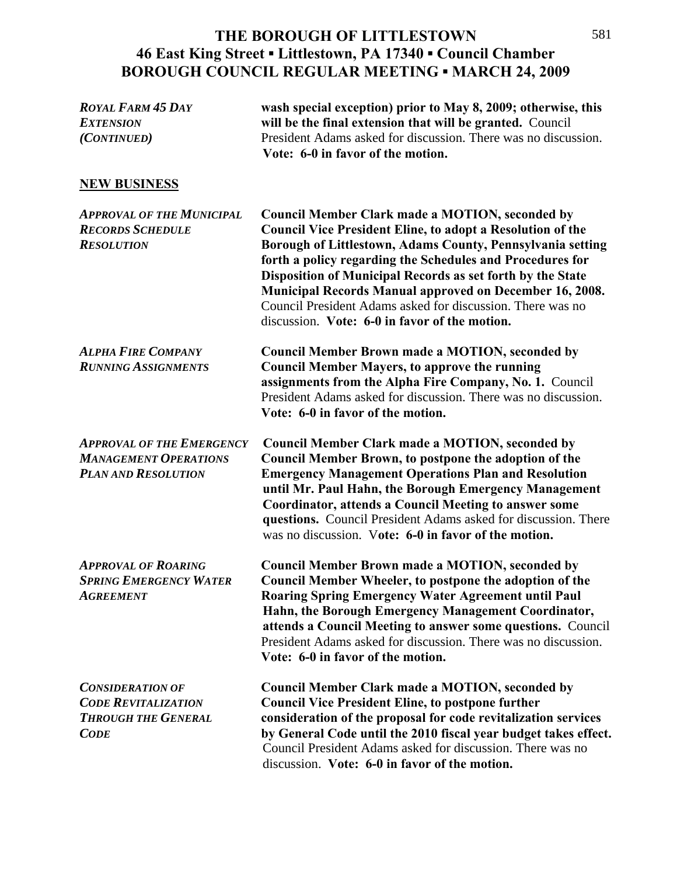#### **THE BOROUGH OF LITTLESTOWN 46 East King Street ▪ Littlestown, PA 17340 ▪ Council Chamber BOROUGH COUNCIL REGULAR MEETING ▪ MARCH 24, 2009**  $\frac{1}{2}$

| <b>ROYAL FARM 45 DAY</b><br><b>EXTENSION</b><br>(CONTINUED)                                        | wash special exception) prior to May 8, 2009; otherwise, this<br>will be the final extension that will be granted. Council<br>President Adams asked for discussion. There was no discussion.<br>Vote: 6-0 in favor of the motion.                                                                                                                                                                                                                                                                     |
|----------------------------------------------------------------------------------------------------|-------------------------------------------------------------------------------------------------------------------------------------------------------------------------------------------------------------------------------------------------------------------------------------------------------------------------------------------------------------------------------------------------------------------------------------------------------------------------------------------------------|
| <b>NEW BUSINESS</b>                                                                                |                                                                                                                                                                                                                                                                                                                                                                                                                                                                                                       |
| <b>APPROVAL OF THE MUNICIPAL</b><br><b>RECORDS SCHEDULE</b><br><b>RESOLUTION</b>                   | <b>Council Member Clark made a MOTION, seconded by</b><br><b>Council Vice President Eline, to adopt a Resolution of the</b><br>Borough of Littlestown, Adams County, Pennsylvania setting<br>forth a policy regarding the Schedules and Procedures for<br>Disposition of Municipal Records as set forth by the State<br><b>Municipal Records Manual approved on December 16, 2008.</b><br>Council President Adams asked for discussion. There was no<br>discussion. Vote: 6-0 in favor of the motion. |
| <b>ALPHA FIRE COMPANY</b><br><b>RUNNING ASSIGNMENTS</b>                                            | <b>Council Member Brown made a MOTION, seconded by</b><br><b>Council Member Mayers, to approve the running</b><br>assignments from the Alpha Fire Company, No. 1. Council<br>President Adams asked for discussion. There was no discussion.<br>Vote: 6-0 in favor of the motion.                                                                                                                                                                                                                      |
| <b>APPROVAL OF THE EMERGENCY</b><br><b>MANAGEMENT OPERATIONS</b><br><b>PLAN AND RESOLUTION</b>     | <b>Council Member Clark made a MOTION, seconded by</b><br>Council Member Brown, to postpone the adoption of the<br><b>Emergency Management Operations Plan and Resolution</b><br>until Mr. Paul Hahn, the Borough Emergency Management<br><b>Coordinator, attends a Council Meeting to answer some</b><br>questions. Council President Adams asked for discussion. There<br>was no discussion. Vote: 6-0 in favor of the motion.                                                                      |
| <b>APPROVAL OF ROARING</b><br><b>SPRING EMERGENCY WATER</b><br><b>AGREEMENT</b>                    | <b>Council Member Brown made a MOTION, seconded by</b><br>Council Member Wheeler, to postpone the adoption of the<br><b>Roaring Spring Emergency Water Agreement until Paul</b><br>Hahn, the Borough Emergency Management Coordinator,<br>attends a Council Meeting to answer some questions. Council<br>President Adams asked for discussion. There was no discussion.<br>Vote: 6-0 in favor of the motion.                                                                                          |
| <b>CONSIDERATION OF</b><br><b>CODE REVITALIZATION</b><br><b>THROUGH THE GENERAL</b><br><b>CODE</b> | <b>Council Member Clark made a MOTION, seconded by</b><br><b>Council Vice President Eline, to postpone further</b><br>consideration of the proposal for code revitalization services<br>by General Code until the 2010 fiscal year budget takes effect.<br>Council President Adams asked for discussion. There was no<br>discussion. Vote: 6-0 in favor of the motion.                                                                                                                                |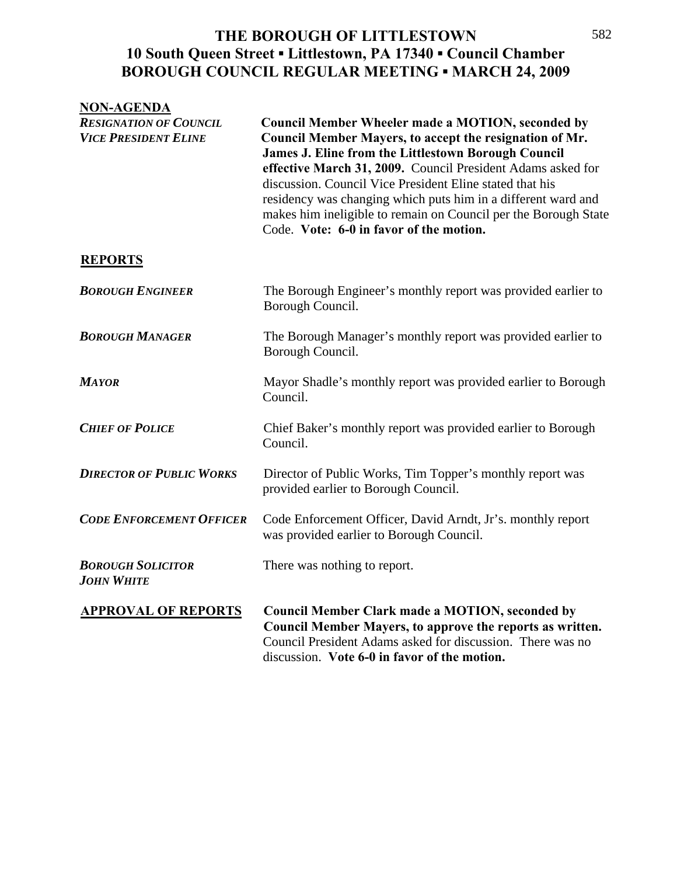| <b>NON-AGENDA</b>                                            |                                                                                                                                                                                                                                                                                                                                                                                                                                                                                             |
|--------------------------------------------------------------|---------------------------------------------------------------------------------------------------------------------------------------------------------------------------------------------------------------------------------------------------------------------------------------------------------------------------------------------------------------------------------------------------------------------------------------------------------------------------------------------|
| <b>RESIGNATION OF COUNCIL</b><br><b>VICE PRESIDENT ELINE</b> | <b>Council Member Wheeler made a MOTION, seconded by</b><br>Council Member Mayers, to accept the resignation of Mr.<br><b>James J. Eline from the Littlestown Borough Council</b><br>effective March 31, 2009. Council President Adams asked for<br>discussion. Council Vice President Eline stated that his<br>residency was changing which puts him in a different ward and<br>makes him ineligible to remain on Council per the Borough State<br>Code. Vote: 6-0 in favor of the motion. |
| <b>REPORTS</b>                                               |                                                                                                                                                                                                                                                                                                                                                                                                                                                                                             |
| <b>BOROUGH ENGINEER</b>                                      | The Borough Engineer's monthly report was provided earlier to<br>Borough Council.                                                                                                                                                                                                                                                                                                                                                                                                           |
| <b>BOROUGH MANAGER</b>                                       | The Borough Manager's monthly report was provided earlier to<br>Borough Council.                                                                                                                                                                                                                                                                                                                                                                                                            |
| <b>MAYOR</b>                                                 | Mayor Shadle's monthly report was provided earlier to Borough<br>Council.                                                                                                                                                                                                                                                                                                                                                                                                                   |
| <b>CHIEF OF POLICE</b>                                       | Chief Baker's monthly report was provided earlier to Borough<br>Council.                                                                                                                                                                                                                                                                                                                                                                                                                    |
| <b>DIRECTOR OF PUBLIC WORKS</b>                              | Director of Public Works, Tim Topper's monthly report was<br>provided earlier to Borough Council.                                                                                                                                                                                                                                                                                                                                                                                           |
| <b>CODE ENFORCEMENT OFFICER</b>                              | Code Enforcement Officer, David Arndt, Jr's. monthly report<br>was provided earlier to Borough Council.                                                                                                                                                                                                                                                                                                                                                                                     |
| <b>BOROUGH SOLICITOR</b><br><b>JOHN WHITE</b>                | There was nothing to report.                                                                                                                                                                                                                                                                                                                                                                                                                                                                |
| <b>APPROVAL OF REPORTS</b>                                   | <b>Council Member Clark made a MOTION, seconded by</b><br>Council Member Mayers, to approve the reports as written.<br>Council President Adams asked for discussion. There was no<br>discussion. Vote 6-0 in favor of the motion.                                                                                                                                                                                                                                                           |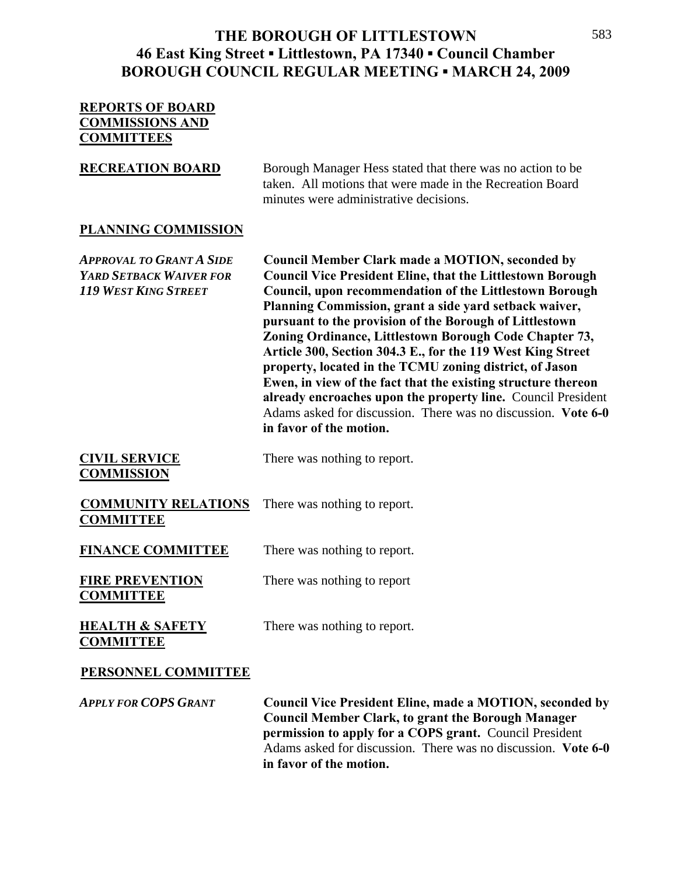## **REPORTS OF BOARD COMMISSIONS AND COMMITTEES**

**RECREATION BOARD** Borough Manager Hess stated that there was no action to be taken. All motions that were made in the Recreation Board minutes were administrative decisions.

## **PLANNING COMMISSION**

*APPROVAL TO GRANT A SIDE* **Council Member Clark made a MOTION, seconded by**  *YARD SETBACK WAIVER FOR* **Council Vice President Eline, that the Littlestown Borough**  *119 WEST KING STREET* **Council, upon recommendation of the Littlestown Borough Planning Commission, grant a side yard setback waiver, pursuant to the provision of the Borough of Littlestown Zoning Ordinance, Littlestown Borough Code Chapter 73, Article 300, Section 304.3 E., for the 119 West King Street property, located in the TCMU zoning district, of Jason Ewen, in view of the fact that the existing structure thereon already encroaches upon the property line.** Council President Adams asked for discussion. There was no discussion. **Vote 6-0 in favor of the motion. CIVIL SERVICE** There was nothing to report. **COMMISSION** 

**COMMUNITY RELATIONS** There was nothing to report. **COMMITTEE** 

**FINANCE COMMITTEE** There was nothing to report.

**FIRE PREVENTION** There was nothing to report **COMMITTEE** 

**COMMITTEE**

**HEALTH & SAFETY** There was nothing to report.

## **PERSONNEL COMMITTEE**

*APPLY FOR COPS GRANT* **Council Vice President Eline, made a MOTION, seconded by**  **Council Member Clark, to grant the Borough Manager permission to apply for a COPS grant.** Council President Adams asked for discussion. There was no discussion. **Vote 6-0 in favor of the motion.**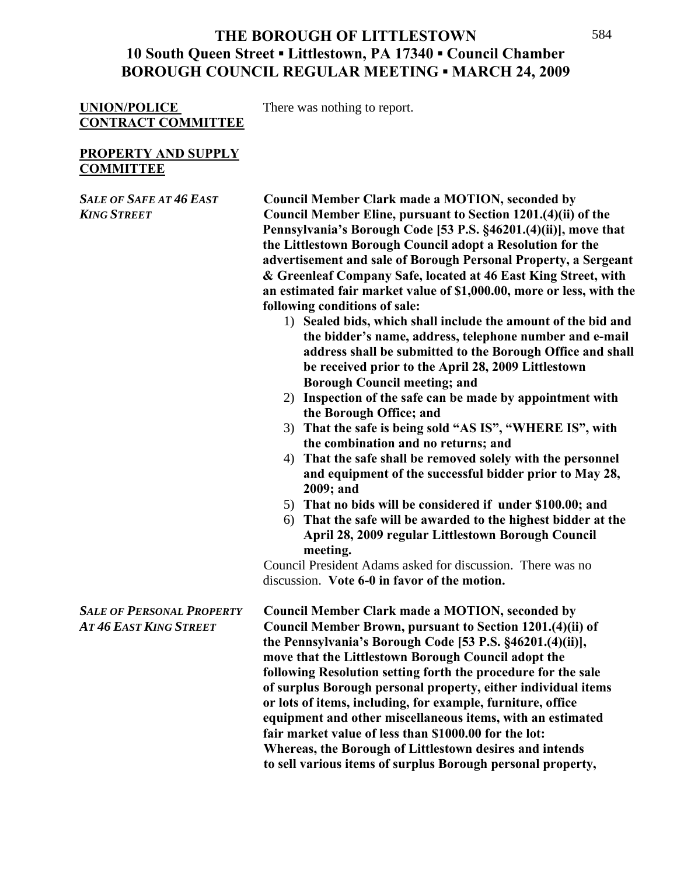### UNION/POLICE There was nothing to report. **CONTRACT COMMITTEE**

### **PROPERTY AND SUPPLY COMMITTEE**

*SALE OF SAFE AT 46 EAST* **Council Member Clark made a MOTION, seconded by** *KING STREET* **Council Member Eline, pursuant to Section 1201.(4)(ii) of the Pennsylvania's Borough Code [53 P.S. §46201.(4)(ii)], move that the Littlestown Borough Council adopt a Resolution for the advertisement and sale of Borough Personal Property, a Sergeant & Greenleaf Company Safe, located at 46 East King Street, with an estimated fair market value of \$1,000.00, more or less, with the following conditions of sale:** 

- 1) **Sealed bids, which shall include the amount of the bid and the bidder's name, address, telephone number and e-mail address shall be submitted to the Borough Office and shall be received prior to the April 28, 2009 Littlestown Borough Council meeting; and**
- 2) **Inspection of the safe can be made by appointment with the Borough Office; and**
- 3) **That the safe is being sold "AS IS", "WHERE IS", with the combination and no returns; and**
- 4) **That the safe shall be removed solely with the personnel and equipment of the successful bidder prior to May 28, 2009; and**
- 5) **That no bids will be considered if under \$100.00; and**
- 6) **That the safe will be awarded to the highest bidder at the April 28, 2009 regular Littlestown Borough Council meeting.**

Council President Adams asked for discussion. There was no discussion. **Vote 6-0 in favor of the motion.** 

*SALE OF PERSONAL PROPERTY* **Council Member Clark made a MOTION, seconded by**  *AT 46 EAST KING STREET* **Council Member Brown, pursuant to Section 1201.(4)(ii) of the Pennsylvania's Borough Code [53 P.S. §46201.(4)(ii)], move that the Littlestown Borough Council adopt the following Resolution setting forth the procedure for the sale of surplus Borough personal property, either individual items or lots of items, including, for example, furniture, office equipment and other miscellaneous items, with an estimated fair market value of less than \$1000.00 for the lot:**  **Whereas, the Borough of Littlestown desires and intends to sell various items of surplus Borough personal property,**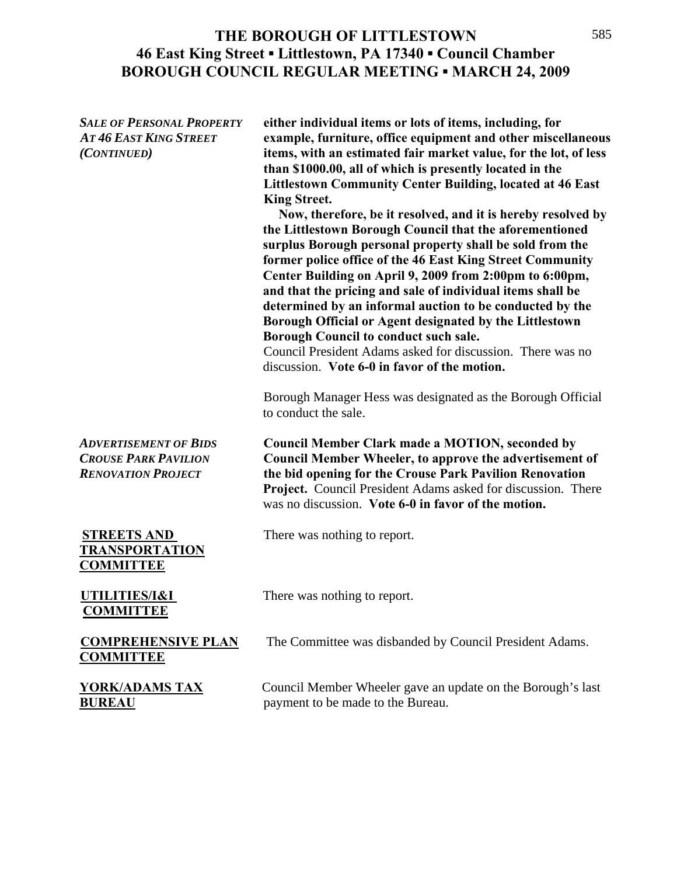*SALE OF PERSONAL PROPERTY* **either individual items or lots of items, including, for**  *AT 46 EAST KING STREET* **example, furniture, office equipment and other miscellaneous**  *(CONTINUED)* **items, with an estimated fair market value, for the lot, of less than \$1000.00, all of which is presently located in the Littlestown Community Center Building, located at 46 East**  **King Street. Now, therefore, be it resolved, and it is hereby resolved by the Littlestown Borough Council that the aforementioned surplus Borough personal property shall be sold from the former police office of the 46 East King Street Community Center Building on April 9, 2009 from 2:00pm to 6:00pm, and that the pricing and sale of individual items shall be determined by an informal auction to be conducted by the Borough Official or Agent designated by the Littlestown Borough Council to conduct such sale.** Council President Adams asked for discussion. There was no discussion. **Vote 6-0 in favor of the motion.** Borough Manager Hess was designated as the Borough Official to conduct the sale. *ADVERTISEMENT OF BIDS* **Council Member Clark made a MOTION, seconded by**  *CROUSE PARK PAVILION* **Council Member Wheeler, to approve the advertisement of**  *RENOVATION PROJECT* **the bid opening for the Crouse Park Pavilion Renovation Project.** Council President Adams asked for discussion. There was no discussion. **Vote 6-0 in favor of the motion. STREETS AND** There was nothing to report. **TRANSPORTATION COMMITTEE UTILITIES/I&I** There was nothing to report.

**COMMITTEE** 

**COMMITTEE** 

**COMPREHENSIVE PLAN** The Committee was disbanded by Council President Adams.

**YORK/ADAMS TAX** Council Member Wheeler gave an update on the Borough's last **BUREAU payment to be made to the Bureau.** 

#### 585